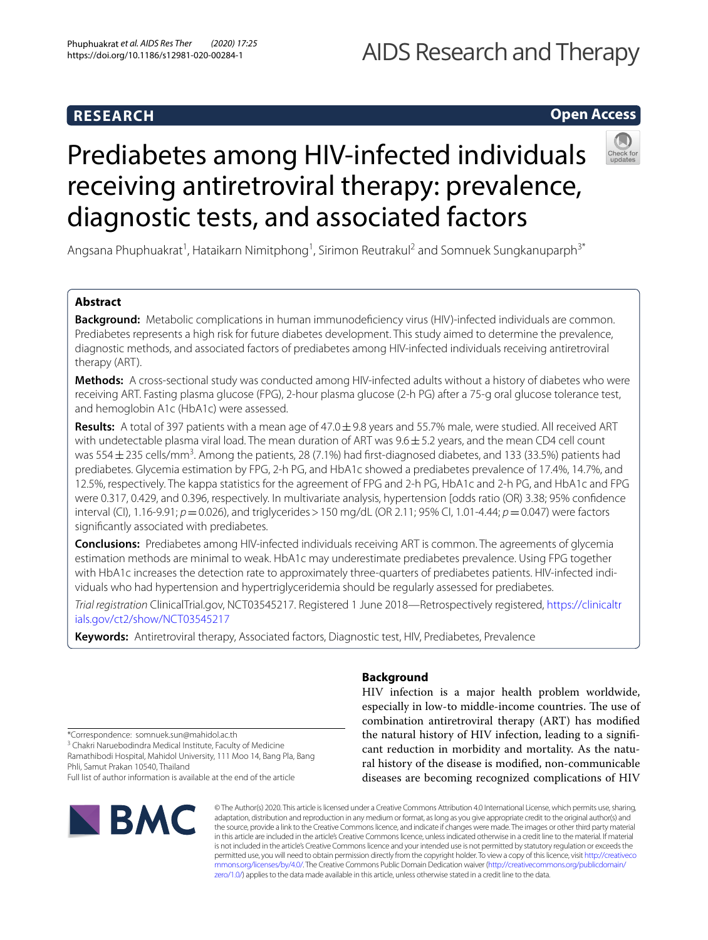# **RESEARCH**

AIDS Research and Therapy

# Prediabetes among HIV-infected individuals receiving antiretroviral therapy: prevalence,



**Open Access**

Angsana Phuphuakrat<sup>1</sup>, Hataikarn Nimitphong<sup>1</sup>, Sirimon Reutrakul<sup>2</sup> and Somnuek Sungkanuparph<sup>3\*</sup>

diagnostic tests, and associated factors

# **Abstract**

**Background:** Metabolic complications in human immunodefciency virus (HIV)-infected individuals are common. Prediabetes represents a high risk for future diabetes development. This study aimed to determine the prevalence, diagnostic methods, and associated factors of prediabetes among HIV-infected individuals receiving antiretroviral therapy (ART).

**Methods:** A cross-sectional study was conducted among HIV-infected adults without a history of diabetes who were receiving ART. Fasting plasma glucose (FPG), 2-hour plasma glucose (2-h PG) after a 75-g oral glucose tolerance test, and hemoglobin A1c (HbA1c) were assessed.

**Results:** A total of 397 patients with a mean age of 47.0±9.8 years and 55.7% male, were studied. All received ART with undetectable plasma viral load. The mean duration of ART was  $9.6 \pm 5.2$  years, and the mean CD4 cell count was 554  $\pm$  235 cells/mm<sup>3</sup>. Among the patients, 28 (7.1%) had first-diagnosed diabetes, and 133 (33.5%) patients had prediabetes. Glycemia estimation by FPG, 2-h PG, and HbA1c showed a prediabetes prevalence of 17.4%, 14.7%, and 12.5%, respectively. The kappa statistics for the agreement of FPG and 2-h PG, HbA1c and 2-h PG, and HbA1c and FPG were 0.317, 0.429, and 0.396, respectively. In multivariate analysis, hypertension [odds ratio (OR) 3.38; 95% confdence interval (CI), 1.16-9.91; *p*=0.026), and triglycerides>150 mg/dL (OR 2.11; 95% CI, 1.01-4.44; *p*=0.047) were factors signifcantly associated with prediabetes.

**Conclusions:** Prediabetes among HIV-infected individuals receiving ART is common. The agreements of glycemia estimation methods are minimal to weak. HbA1c may underestimate prediabetes prevalence. Using FPG together with HbA1c increases the detection rate to approximately three-quarters of prediabetes patients. HIV-infected individuals who had hypertension and hypertriglyceridemia should be regularly assessed for prediabetes.

*Trial registration* ClinicalTrial.gov, NCT03545217. Registered 1 June 2018—Retrospectively registered, [https://clinicaltr](https://clinicaltrials.gov/ct2/show/NCT03545217) [ials.gov/ct2/show/NCT03545217](https://clinicaltrials.gov/ct2/show/NCT03545217)

**Keywords:** Antiretroviral therapy, Associated factors, Diagnostic test, HIV, Prediabetes, Prevalence

# **Background**

HIV infection is a major health problem worldwide, especially in low-to middle-income countries. The use of combination antiretroviral therapy (ART) has modifed the natural history of HIV infection, leading to a signifcant reduction in morbidity and mortality. As the natural history of the disease is modifed, non-communicable diseases are becoming recognized complications of HIV

\*Correspondence: somnuek.sun@mahidol.ac.th

<sup>3</sup> Chakri Naruebodindra Medical Institute, Faculty of Medicine Ramathibodi Hospital, Mahidol University, 111 Moo 14, Bang Pla, Bang Phli, Samut Prakan 10540, Thailand

Full list of author information is available at the end of the article



© The Author(s) 2020. This article is licensed under a Creative Commons Attribution 4.0 International License, which permits use, sharing, adaptation, distribution and reproduction in any medium or format, as long as you give appropriate credit to the original author(s) and the source, provide a link to the Creative Commons licence, and indicate if changes were made. The images or other third party material in this article are included in the article's Creative Commons licence, unless indicated otherwise in a credit line to the material. If material is not included in the article's Creative Commons licence and your intended use is not permitted by statutory regulation or exceeds the permitted use, you will need to obtain permission directly from the copyright holder. To view a copy of this licence, visit [http://creativeco](http://creativecommons.org/licenses/by/4.0/) [mmons.org/licenses/by/4.0/.](http://creativecommons.org/licenses/by/4.0/) The Creative Commons Public Domain Dedication waiver ([http://creativecommons.org/publicdomain/](http://creativecommons.org/publicdomain/zero/1.0/) [zero/1.0/\)](http://creativecommons.org/publicdomain/zero/1.0/) applies to the data made available in this article, unless otherwise stated in a credit line to the data.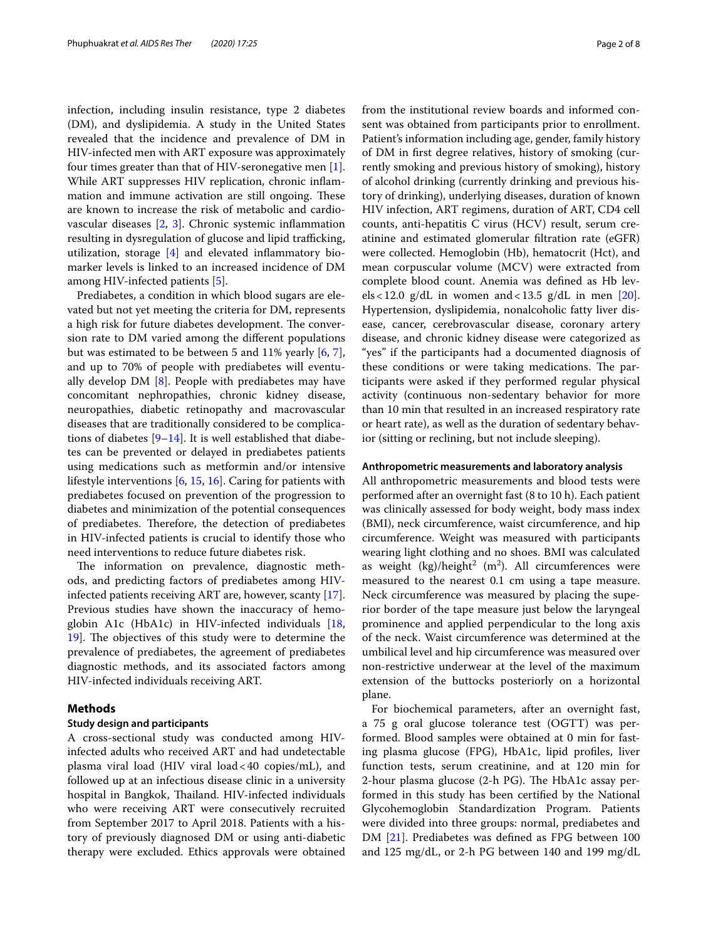infection, including insulin resistance, type 2 diabetes (DM), and dyslipidemia. A study in the United States revealed that the incidence and prevalence of DM in HIV-infected men with ART exposure was approximately four times greater than that of HIV-seronegative men [\[1](#page-6-0)]. While ART suppresses HIV replication, chronic infammation and immune activation are still ongoing. These are known to increase the risk of metabolic and cardiovascular diseases [\[2](#page-6-1), [3\]](#page-6-2). Chronic systemic infammation resulting in dysregulation of glucose and lipid trafficking, utilization, storage [[4\]](#page-6-3) and elevated infammatory biomarker levels is linked to an increased incidence of DM among HIV-infected patients [[5](#page-6-4)].

Prediabetes, a condition in which blood sugars are elevated but not yet meeting the criteria for DM, represents a high risk for future diabetes development. The conversion rate to DM varied among the diferent populations but was estimated to be between 5 and 11% yearly [\[6](#page-6-5), [7](#page-6-6)], and up to 70% of people with prediabetes will eventually develop  $DM$  [\[8](#page-6-7)]. People with prediabetes may have concomitant nephropathies, chronic kidney disease, neuropathies, diabetic retinopathy and macrovascular diseases that are traditionally considered to be complications of diabetes  $[9-14]$  $[9-14]$  $[9-14]$ . It is well established that diabetes can be prevented or delayed in prediabetes patients using medications such as metformin and/or intensive lifestyle interventions [\[6](#page-6-5), [15,](#page-6-10) [16\]](#page-6-11). Caring for patients with prediabetes focused on prevention of the progression to diabetes and minimization of the potential consequences of prediabetes. Therefore, the detection of prediabetes in HIV-infected patients is crucial to identify those who need interventions to reduce future diabetes risk.

The information on prevalence, diagnostic methods, and predicting factors of prediabetes among HIVinfected patients receiving ART are, however, scanty [\[17](#page-6-12)]. Previous studies have shown the inaccuracy of hemoglobin A1c (HbA1c) in HIV-infected individuals [\[18](#page-6-13), 19. The objectives of this study were to determine the prevalence of prediabetes, the agreement of prediabetes diagnostic methods, and its associated factors among HIV-infected individuals receiving ART.

# **Methods**

# **Study design and participants**

A cross-sectional study was conducted among HIVinfected adults who received ART and had undetectable plasma viral load (HIV viral load<40 copies/mL), and followed up at an infectious disease clinic in a university hospital in Bangkok, Thailand. HIV-infected individuals who were receiving ART were consecutively recruited from September 2017 to April 2018. Patients with a history of previously diagnosed DM or using anti-diabetic therapy were excluded. Ethics approvals were obtained from the institutional review boards and informed consent was obtained from participants prior to enrollment.

Patient's information including age, gender, family history of DM in frst degree relatives, history of smoking (currently smoking and previous history of smoking), history of alcohol drinking (currently drinking and previous history of drinking), underlying diseases, duration of known HIV infection, ART regimens, duration of ART, CD4 cell counts, anti-hepatitis C virus (HCV) result, serum creatinine and estimated glomerular fltration rate (eGFR) were collected. Hemoglobin (Hb), hematocrit (Hct), and mean corpuscular volume (MCV) were extracted from complete blood count. Anemia was defned as Hb levels < 12.0  $g/dL$  in women and < 13.5  $g/dL$  in men [\[20](#page-7-0)]. Hypertension, dyslipidemia, nonalcoholic fatty liver disease, cancer, cerebrovascular disease, coronary artery disease, and chronic kidney disease were categorized as "yes" if the participants had a documented diagnosis of these conditions or were taking medications. The participants were asked if they performed regular physical activity (continuous non-sedentary behavior for more than 10 min that resulted in an increased respiratory rate or heart rate), as well as the duration of sedentary behavior (sitting or reclining, but not include sleeping).

# **Anthropometric measurements and laboratory analysis**

All anthropometric measurements and blood tests were performed after an overnight fast (8 to 10 h). Each patient was clinically assessed for body weight, body mass index (BMI), neck circumference, waist circumference, and hip circumference. Weight was measured with participants wearing light clothing and no shoes. BMI was calculated as weight  $(kg)/height<sup>2</sup>$  (m<sup>2</sup>). All circumferences were measured to the nearest 0.1 cm using a tape measure. Neck circumference was measured by placing the superior border of the tape measure just below the laryngeal prominence and applied perpendicular to the long axis of the neck. Waist circumference was determined at the umbilical level and hip circumference was measured over non-restrictive underwear at the level of the maximum extension of the buttocks posteriorly on a horizontal plane.

For biochemical parameters, after an overnight fast, a 75 g oral glucose tolerance test (OGTT) was performed. Blood samples were obtained at 0 min for fasting plasma glucose (FPG), HbA1c, lipid profles, liver function tests, serum creatinine, and at 120 min for 2-hour plasma glucose (2-h PG). The HbA1c assay performed in this study has been certifed by the National Glycohemoglobin Standardization Program. Patients were divided into three groups: normal, prediabetes and DM [[21\]](#page-7-1). Prediabetes was defned as FPG between 100 and 125 mg/dL, or 2-h PG between 140 and 199 mg/dL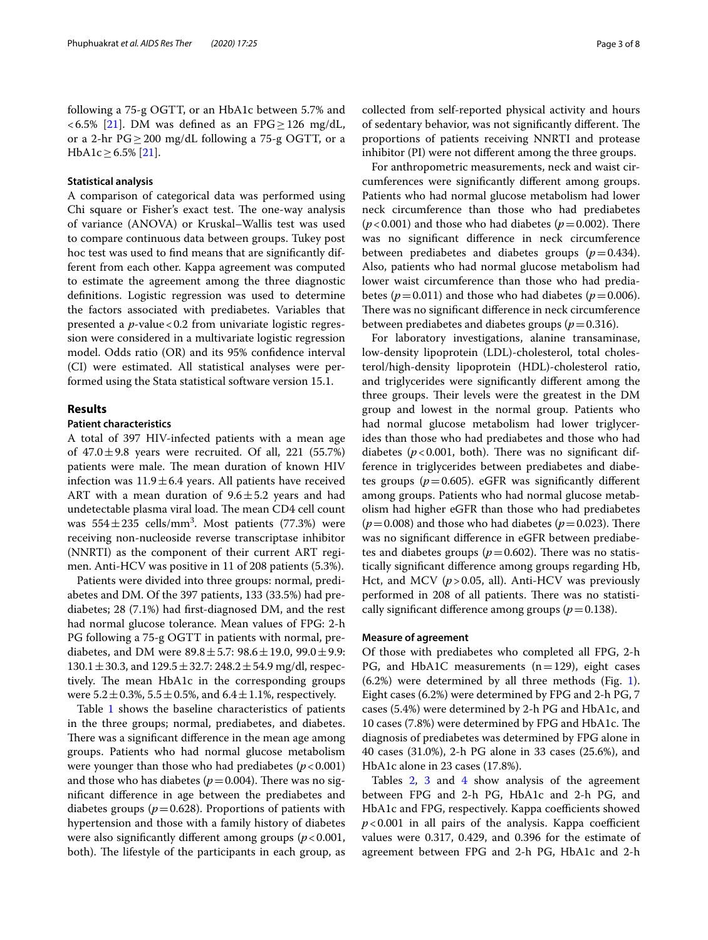following a 75-g OGTT, or an HbA1c between 5.7% and  $<6.5\%$  [[21\]](#page-7-1). DM was defined as an FPG > 126 mg/dL, or a 2-hr  $PG \geq 200$  mg/dL following a 75-g OGTT, or a HbA1c ≥ 6.5% [[21\]](#page-7-1).

# **Statistical analysis**

A comparison of categorical data was performed using Chi square or Fisher's exact test. The one-way analysis of variance (ANOVA) or Kruskal–Wallis test was used to compare continuous data between groups. Tukey post hoc test was used to fnd means that are signifcantly different from each other. Kappa agreement was computed to estimate the agreement among the three diagnostic defnitions. Logistic regression was used to determine the factors associated with prediabetes. Variables that presented a *p*-value<0.2 from univariate logistic regression were considered in a multivariate logistic regression model. Odds ratio (OR) and its 95% confdence interval (CI) were estimated. All statistical analyses were performed using the Stata statistical software version 15.1.

# **Results**

# **Patient characteristics**

A total of 397 HIV-infected patients with a mean age of  $47.0 \pm 9.8$  years were recruited. Of all, 221 (55.7%) patients were male. The mean duration of known HIV infection was  $11.9 \pm 6.4$  years. All patients have received ART with a mean duration of  $9.6 \pm 5.2$  years and had undetectable plasma viral load. The mean CD4 cell count was  $554 \pm 235$  cells/mm<sup>3</sup>. Most patients (77.3%) were receiving non-nucleoside reverse transcriptase inhibitor (NNRTI) as the component of their current ART regimen. Anti-HCV was positive in 11 of 208 patients (5.3%).

Patients were divided into three groups: normal, prediabetes and DM. Of the 397 patients, 133 (33.5%) had prediabetes; 28 (7.1%) had frst-diagnosed DM, and the rest had normal glucose tolerance. Mean values of FPG: 2-h PG following a 75-g OGTT in patients with normal, prediabetes, and DM were  $89.8 \pm 5.7$ :  $98.6 \pm 19.0$ ,  $99.0 \pm 9.9$ :  $130.1 \pm 30.3$ , and  $129.5 \pm 32.7$ :  $248.2 \pm 54.9$  mg/dl, respectively. The mean HbA1c in the corresponding groups were  $5.2 \pm 0.3$ %,  $5.5 \pm 0.5$ %, and  $6.4 \pm 1.1$ %, respectively.

Table [1](#page-3-0) shows the baseline characteristics of patients in the three groups; normal, prediabetes, and diabetes. There was a significant difference in the mean age among groups. Patients who had normal glucose metabolism were younger than those who had prediabetes  $(p<0.001)$ and those who has diabetes ( $p=0.004$ ). There was no signifcant diference in age between the prediabetes and diabetes groups ( $p = 0.628$ ). Proportions of patients with hypertension and those with a family history of diabetes were also significantly different among groups  $(p < 0.001$ , both). The lifestyle of the participants in each group, as collected from self-reported physical activity and hours of sedentary behavior, was not significantly different. The proportions of patients receiving NNRTI and protease inhibitor (PI) were not diferent among the three groups.

For anthropometric measurements, neck and waist circumferences were signifcantly diferent among groups. Patients who had normal glucose metabolism had lower neck circumference than those who had prediabetes  $(p<0.001)$  and those who had diabetes  $(p=0.002)$ . There was no signifcant diference in neck circumference between prediabetes and diabetes groups  $(p=0.434)$ . Also, patients who had normal glucose metabolism had lower waist circumference than those who had prediabetes ( $p = 0.011$ ) and those who had diabetes ( $p = 0.006$ ). There was no significant difference in neck circumference between prediabetes and diabetes groups ( $p=0.316$ ).

For laboratory investigations, alanine transaminase, low-density lipoprotein (LDL)-cholesterol, total cholesterol/high-density lipoprotein (HDL)-cholesterol ratio, and triglycerides were signifcantly diferent among the three groups. Their levels were the greatest in the DM group and lowest in the normal group. Patients who had normal glucose metabolism had lower triglycerides than those who had prediabetes and those who had diabetes  $(p<0.001$ , both). There was no significant difference in triglycerides between prediabetes and diabetes groups  $(p=0.605)$ . eGFR was significantly different among groups. Patients who had normal glucose metabolism had higher eGFR than those who had prediabetes  $(p=0.008)$  and those who had diabetes  $(p=0.023)$ . There was no signifcant diference in eGFR between prediabetes and diabetes groups  $(p=0.602)$ . There was no statistically signifcant diference among groups regarding Hb, Hct, and MCV (*p*>0.05, all). Anti-HCV was previously performed in 208 of all patients. There was no statistically significant difference among groups ( $p=0.138$ ).

### **Measure of agreement**

Of those with prediabetes who completed all FPG, 2-h PG, and HbA1C measurements  $(n=129)$ , eight cases (6.2%) were determined by all three methods (Fig. [1](#page-4-0)). Eight cases (6.2%) were determined by FPG and 2-h PG, 7 cases (5.4%) were determined by 2-h PG and HbA1c, and 10 cases (7.8%) were determined by FPG and HbA1c. The diagnosis of prediabetes was determined by FPG alone in 40 cases (31.0%), 2-h PG alone in 33 cases (25.6%), and HbA1c alone in 23 cases (17.8%).

Tables [2](#page-4-1), [3](#page-4-2) and [4](#page-4-3) show analysis of the agreement between FPG and 2-h PG, HbA1c and 2-h PG, and HbA1c and FPG, respectively. Kappa coefficients showed  $p$ <0.001 in all pairs of the analysis. Kappa coefficient values were 0.317, 0.429, and 0.396 for the estimate of agreement between FPG and 2-h PG, HbA1c and 2-h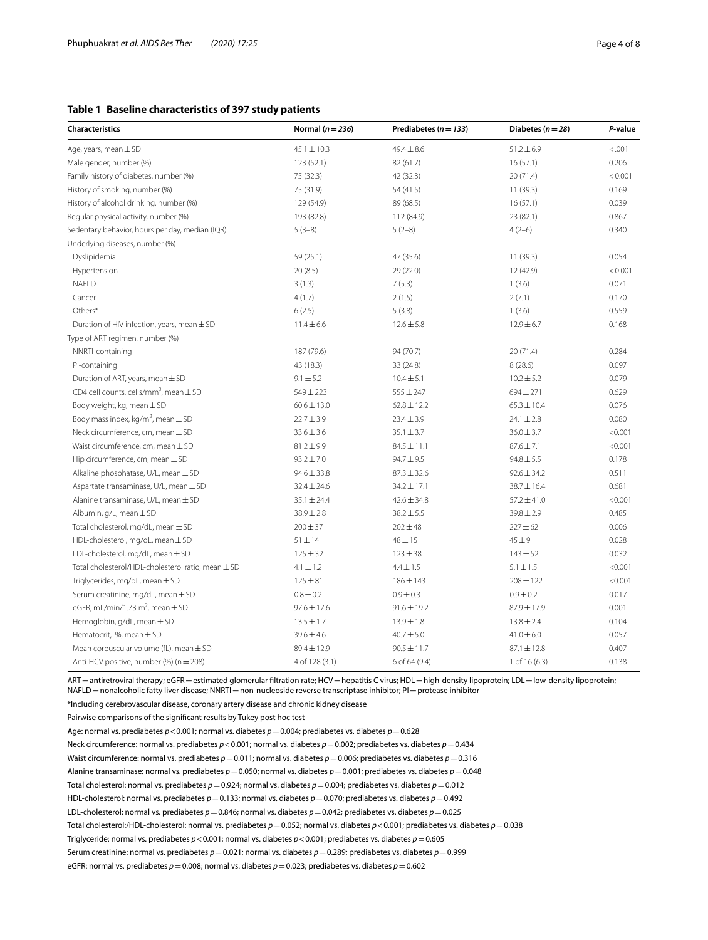# <span id="page-3-0"></span>**Table 1 Baseline characteristics of 397 study patients**

| Characteristics                                        | Normal $(n=236)$ | Prediabetes ( $n = 133$ ) | Diabetes $(n=28)$ | P-value |
|--------------------------------------------------------|------------------|---------------------------|-------------------|---------|
| Age, years, mean $\pm$ SD                              | $45.1 \pm 10.3$  | $49.4 \pm 8.6$            | $51.2 \pm 6.9$    | < .001  |
| Male gender, number (%)                                | 123 (52.1)       | 82 (61.7)                 | 16(57.1)          | 0.206   |
| Family history of diabetes, number (%)                 | 75 (32.3)        | 42 (32.3)                 | 20 (71.4)         | < 0.001 |
| History of smoking, number (%)                         | 75 (31.9)        | 54 (41.5)                 | 11 (39.3)         | 0.169   |
| History of alcohol drinking, number (%)                | 129 (54.9)       | 89 (68.5)                 | 16(57.1)          | 0.039   |
| Regular physical activity, number (%)                  | 193 (82.8)       | 112 (84.9)                | 23 (82.1)         | 0.867   |
| Sedentary behavior, hours per day, median (IQR)        | $5(3-8)$         | $5(2-8)$                  | $4(2-6)$          | 0.340   |
| Underlying diseases, number (%)                        |                  |                           |                   |         |
| Dyslipidemia                                           | 59 (25.1)        | 47 (35.6)                 | 11 (39.3)         | 0.054   |
| Hypertension                                           | 20(8.5)          | 29 (22.0)                 | 12 (42.9)         | < 0.001 |
| <b>NAFLD</b>                                           | 3(1.3)           | 7(5.3)                    | 1(3.6)            | 0.071   |
| Cancer                                                 | 4(1.7)           | 2(1.5)                    | 2(7.1)            | 0.170   |
| Others*                                                | 6(2.5)           | 5(3.8)                    | 1(3.6)            | 0.559   |
| Duration of HIV infection, years, mean $\pm$ SD        | $11.4 \pm 6.6$   | $12.6 \pm 5.8$            | $12.9 \pm 6.7$    | 0.168   |
| Type of ART regimen, number (%)                        |                  |                           |                   |         |
| NNRTI-containing                                       | 187 (79.6)       | 94 (70.7)                 | 20 (71.4)         | 0.284   |
| Pl-containing                                          | 43 (18.3)        | 33 (24.8)                 | 8(28.6)           | 0.097   |
| Duration of ART, years, mean ± SD                      | $9.1 \pm 5.2$    | $10.4 \pm 5.1$            | $10.2 \pm 5.2$    | 0.079   |
| CD4 cell counts, cells/mm <sup>3</sup> , mean $\pm$ SD | $549 \pm 223$    | $555 \pm 247$             | $694 \pm 271$     | 0.629   |
| Body weight, kg, mean ± SD                             | $60.6 \pm 13.0$  | $62.8 \pm 12.2$           | $65.3 \pm 10.4$   | 0.076   |
| Body mass index, kg/m <sup>2</sup> , mean $\pm$ SD     | $22.7 \pm 3.9$   | $23.4 \pm 3.9$            | $24.1 \pm 2.8$    | 0.080   |
| Neck circumference, cm, mean ± SD                      | $33.6 \pm 3.6$   | $35.1 \pm 3.7$            | $36.0 \pm 3.7$    | < 0.001 |
| Waist circumference, cm, mean ± SD                     | $81.2 \pm 9.9$   | $84.5 \pm 11.1$           | $87.6 \pm 7.1$    | < 0.001 |
| Hip circumference, cm, mean $\pm$ SD                   | $93.2 \pm 7.0$   | $94.7 \pm 9.5$            | $94.8 \pm 5.5$    | 0.178   |
| Alkaline phosphatase, U/L, mean ± SD                   | $94.6 \pm 33.8$  | $87.3 \pm 32.6$           | $92.6 \pm 34.2$   | 0.511   |
| Aspartate transaminase, U/L, mean ± SD                 | $32.4 \pm 24.6$  | $34.2 \pm 17.1$           | 38.7±16.4         | 0.681   |
| Alanine transaminase, U/L, mean ± SD                   | $35.1 \pm 24.4$  | $42.6 \pm 34.8$           | $57.2 \pm 41.0$   | < 0.001 |
| Albumin, $q/L$ , mean $\pm$ SD                         | $38.9 \pm 2.8$   | $38.2 \pm 5.5$            | $39.8 \pm 2.9$    | 0.485   |
| Total cholesterol, mg/dL, mean $\pm$ SD                | $200 \pm 37$     | $202 \pm 48$              | $227 \pm 62$      | 0.006   |
| HDL-cholesterol, mg/dL, mean $\pm$ SD                  | $51 \pm 14$      | $48 + 15$                 | $45 + 9$          | 0.028   |
| LDL-cholesterol, mg/dL, mean ± SD                      | $125 \pm 32$     | $123 \pm 38$              | $143 \pm 52$      | 0.032   |
| Total cholesterol/HDL-cholesterol ratio, mean ± SD     | $4.1 \pm 1.2$    | $4.4 \pm 1.5$             | $5.1 \pm 1.5$     | < 0.001 |
| Triglycerides, mg/dL, mean $\pm$ SD                    | $125 \pm 81$     | $186 \pm 143$             | $208 \pm 122$     | < 0.001 |
| Serum creatinine, mg/dL, mean ± SD                     | $0.8 \pm 0.2$    | $0.9 \pm 0.3$             | $0.9 \pm 0.2$     | 0.017   |
| eGFR, mL/min/1.73 m <sup>2</sup> , mean $\pm$ SD       | $97.6 \pm 17.6$  | $91.6 \pm 19.2$           | $87.9 \pm 17.9$   | 0.001   |
| Hemoglobin, g/dL, mean ± SD                            | $13.5 \pm 1.7$   | $13.9 \pm 1.8$            | $13.8 \pm 2.4$    | 0.104   |
| Hematocrit, %, mean ± SD                               | $39.6 \pm 4.6$   | $40.7 \pm 5.0$            | $41.0 \pm 6.0$    | 0.057   |
| Mean corpuscular volume (fL), mean $\pm$ SD            | 89.4 ± 12.9      | $90.5 \pm 11.7$           | $87.1 \pm 12.8$   | 0.407   |
| Anti-HCV positive, number (%) (n = 208)                | 4 of 128 (3.1)   | 6 of 64 (9.4)             | 1 of 16 $(6.3)$   | 0.138   |

ART=antiretroviral therapy; eGFR=estimated glomerular filtration rate; HCV=hepatitis C virus; HDL=high-density lipoprotein; LDL=low-density lipoprotein; NAFLD = nonalcoholic fatty liver disease; NNRTI = non-nucleoside reverse transcriptase inhibitor; PI = protease inhibitor

\*Including cerebrovascular disease, coronary artery disease and chronic kidney disease

Pairwise comparisons of the signifcant results by Tukey post hoc test

Age: normal vs. prediabetes *p*<0.001; normal vs. diabetes *p*=0.004; prediabetes vs. diabetes *p*=0.628

Neck circumference: normal vs. prediabetes *p*<0.001; normal vs. diabetes *p*=0.002; prediabetes vs. diabetes *p*=0.434

Waist circumference: normal vs. prediabetes  $p=0.011$ ; normal vs. diabetes  $p=0.006$ ; prediabetes vs. diabetes  $p=0.316$ 

Alanine transaminase: normal vs. prediabetes *p*=0.050; normal vs. diabetes *p*=0.001; prediabetes vs. diabetes *p*=0.048

Total cholesterol: normal vs. prediabetes *p*=0.924; normal vs. diabetes *p*=0.004; prediabetes vs. diabetes *p*=0.012

HDL-cholesterol: normal vs. prediabetes *p*=0.133; normal vs. diabetes *p*=0.070; prediabetes vs. diabetes *p*=0.492

LDL-cholesterol: normal vs. prediabetes *p*=0.846; normal vs. diabetes *p*=0.042; prediabetes vs. diabetes *p*=0.025

Total cholesterol:/HDL-cholesterol: normal vs. prediabetes *p*=0.052; normal vs. diabetes *p*<0.001; prediabetes vs. diabetes *p*=0.038

Triglyceride: normal vs. prediabetes *p*<0.001; normal vs. diabetes *p*<0.001; prediabetes vs. diabetes *p*=0.605

Serum creatinine: normal vs. prediabetes *p*=0.021; normal vs. diabetes *p*=0.289; prediabetes vs. diabetes *p*=0.999

eGFR: normal vs. prediabetes *p*=0.008; normal vs. diabetes *p*=0.023; prediabetes vs. diabetes *p*=0.602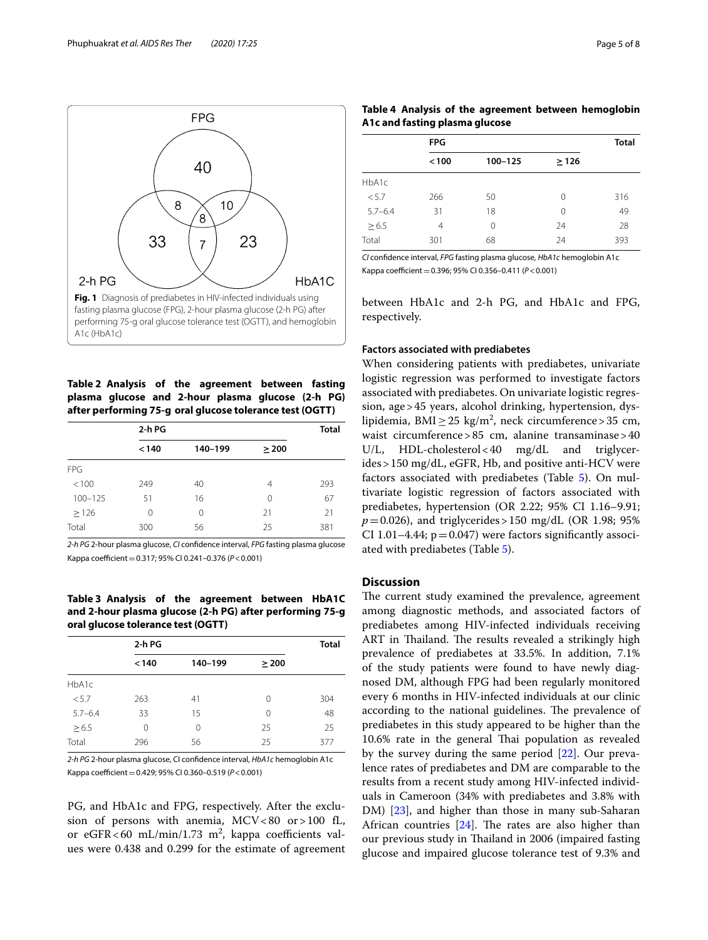

# <span id="page-4-1"></span><span id="page-4-0"></span>**Table 2 Analysis of the agreement between fasting plasma glucose and 2-hour plasma glucose (2-h PG) after performing 75-g oral glucose tolerance test (OGTT)**

|             | 2-h PG |         |       | <b>Total</b> |
|-------------|--------|---------|-------|--------------|
|             | < 140  | 140-199 | > 200 |              |
| <b>FPG</b>  |        |         |       |              |
| < 100       | 249    | 40      | 4     | 293          |
| $100 - 125$ | 51     | 16      | 0     | 67           |
| >126        | 0      | 0       | 21    | 21           |
| Total       | 300    | 56      | 25    | 381          |

*2-h PG* 2-hour plasma glucose, *CI* confdence interval, *FPG* fasting plasma glucose Kappa coefficient = 0.317; 95% CI 0.241-0.376 ( $P$ <0.001)

<span id="page-4-2"></span>**Table 3 Analysis of the agreement between HbA1C and 2-hour plasma glucose (2-h PG) after performing 75-g oral glucose tolerance test (OGTT)**

|             | 2-h PG   |          |       | <b>Total</b> |
|-------------|----------|----------|-------|--------------|
|             | < 140    | 140-199  | > 200 |              |
| HbA1c       |          |          |       |              |
| < 5.7       | 263      | 41       | 0     | 304          |
| $5.7 - 6.4$ | 33       | 15       | 0     | 48           |
| > 6.5       | $\Omega$ | $\Omega$ | 25    | 25           |
| Total       | 296      | 56       | 25    | 377          |

*2-h PG* 2-hour plasma glucose, CI confdence interval, *HbA1c* hemoglobin A1c Kappa coefficient = 0.429; 95% CI 0.360-0.519 ( $P$ <0.001)

PG, and HbA1c and FPG, respectively. After the exclusion of persons with anemia,  $MCV < 80$  or  $> 100$  fL, or eGFR $<$ 60 mL/min/1.73 m<sup>2</sup>, kappa coefficients values were 0.438 and 0.299 for the estimate of agreement

<span id="page-4-3"></span>

|  | Table 4 Analysis of the agreement between hemoglobin |  |
|--|------------------------------------------------------|--|
|  | A1c and fasting plasma glucose                       |  |

|             | <b>FPG</b> | <b>Total</b> |            |     |
|-------------|------------|--------------|------------|-----|
|             | < 100      | 100-125      | $\geq$ 126 |     |
| HbA1c       |            |              |            |     |
| < 5.7       | 266        | 50           | $\Omega$   | 316 |
| $5.7 - 6.4$ | 31         | 18           | 0          | 49  |
| $\geq 6.5$  | 4          | 0            | 24         | 28  |
| Total       | 301        | 68           | 24         | 393 |

*CI* confdence interval, *FPG* fasting plasma glucose, *HbA1c* hemoglobin A1c Kappa coefficient = 0.396; 95% CI 0.356-0.411 ( $P$ <0.001)

between HbA1c and 2-h PG, and HbA1c and FPG, respectively.

# **Factors associated with prediabetes**

When considering patients with prediabetes, univariate logistic regression was performed to investigate factors associated with prediabetes. On univariate logistic regression, age>45 years, alcohol drinking, hypertension, dyslipidemia, BMI $\geq$ 25 kg/m<sup>2</sup>, neck circumference>35 cm, waist circumference>85 cm, alanine transaminase>40 U/L, HDL-cholesterol<40 mg/dL and triglycerides>150 mg/dL, eGFR, Hb, and positive anti-HCV were factors associated with prediabetes (Table [5\)](#page-5-0). On multivariate logistic regression of factors associated with prediabetes, hypertension (OR 2.22; 95% CI 1.16–9.91;  $p = 0.026$ ), and triglycerides > 150 mg/dL (OR 1.98; 95%) CI 1.01–4.44;  $p = 0.047$ ) were factors significantly associated with prediabetes (Table [5](#page-5-0)).

# **Discussion**

The current study examined the prevalence, agreement among diagnostic methods, and associated factors of prediabetes among HIV-infected individuals receiving ART in Thailand. The results revealed a strikingly high prevalence of prediabetes at 33.5%. In addition, 7.1% of the study patients were found to have newly diagnosed DM, although FPG had been regularly monitored every 6 months in HIV-infected individuals at our clinic according to the national guidelines. The prevalence of prediabetes in this study appeared to be higher than the 10.6% rate in the general Thai population as revealed by the survey during the same period [\[22](#page-7-2)]. Our prevalence rates of prediabetes and DM are comparable to the results from a recent study among HIV-infected individuals in Cameroon (34% with prediabetes and 3.8% with DM) [[23](#page-7-3)], and higher than those in many sub-Saharan African countries  $[24]$  $[24]$ . The rates are also higher than our previous study in Thailand in 2006 (impaired fasting glucose and impaired glucose tolerance test of 9.3% and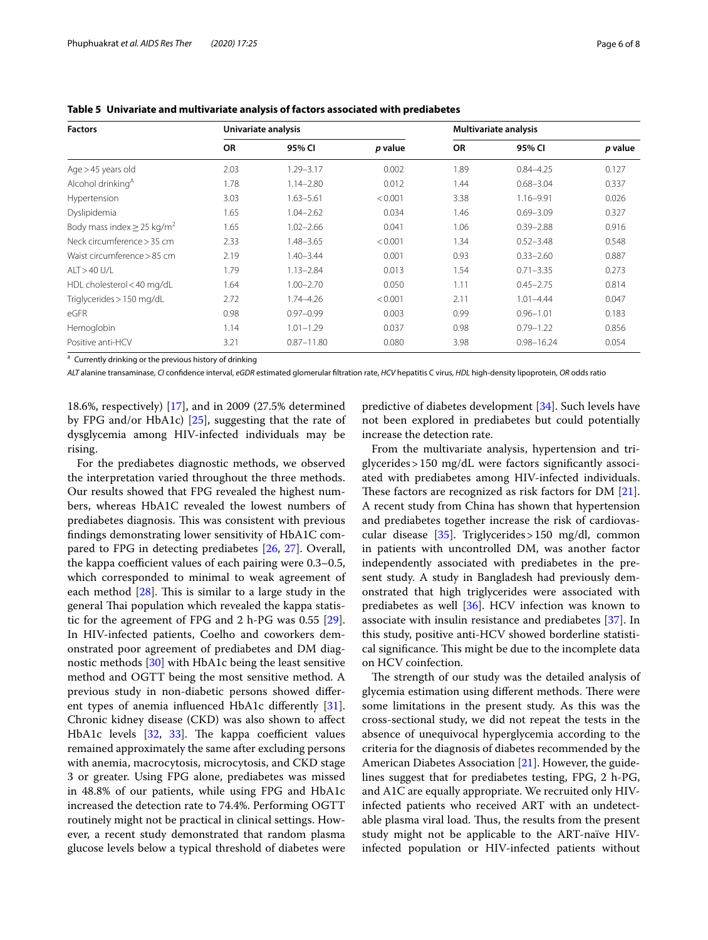| <b>Factors</b>                              | Univariate analysis |                |         | Multivariate analysis |                |         |
|---------------------------------------------|---------------------|----------------|---------|-----------------------|----------------|---------|
|                                             | <b>OR</b>           | 95% CI         | p value | <b>OR</b>             | 95% CI         | p value |
| $Age > 45$ years old                        | 2.03                | $1.29 - 3.17$  | 0.002   | 1.89                  | $0.84 - 4.25$  | 0.127   |
| Alcohol drinking <sup>A</sup>               | 1.78                | $1.14 - 2.80$  | 0.012   | 1.44                  | $0.68 - 3.04$  | 0.337   |
| Hypertension                                | 3.03                | $1.63 - 5.61$  | < 0.001 | 3.38                  | 1.16-9.91      | 0.026   |
| Dyslipidemia                                | 1.65                | $1.04 - 2.62$  | 0.034   | 1.46                  | $0.69 - 3.09$  | 0.327   |
| Body mass index $\geq$ 25 kg/m <sup>2</sup> | 1.65                | $1.02 - 2.66$  | 0.041   | 1.06                  | $0.39 - 2.88$  | 0.916   |
| Neck circumference > 35 cm                  | 2.33                | 1.48-3.65      | < 0.001 | 1.34                  | $0.52 - 3.48$  | 0.548   |
| Waist circumference > 85 cm                 | 2.19                | 1.40-3.44      | 0.001   | 0.93                  | $0.33 - 2.60$  | 0.887   |
| ALT > 40 U/L                                | 1.79                | $1.13 - 2.84$  | 0.013   | 1.54                  | $0.71 - 3.35$  | 0.273   |
| HDL cholesterol < 40 mg/dL                  | 1.64                | $1.00 - 2.70$  | 0.050   | 1.11                  | $0.45 - 2.75$  | 0.814   |
| Triglycerides > 150 mg/dL                   | 2.72                | 1.74-4.26      | < 0.001 | 2.11                  | $1.01 - 4.44$  | 0.047   |
| eGFR                                        | 0.98                | $0.97 - 0.99$  | 0.003   | 0.99                  | $0.96 - 1.01$  | 0.183   |
| Hemoglobin                                  | 1.14                | $1.01 - 1.29$  | 0.037   | 0.98                  | $0.79 - 1.22$  | 0.856   |
| Positive anti-HCV                           | 3.21                | $0.87 - 11.80$ | 0.080   | 3.98                  | $0.98 - 16.24$ | 0.054   |

<span id="page-5-0"></span>**Table 5 Univariate and multivariate analysis of factors associated with prediabetes**

<sup>a</sup> Currently drinking or the previous history of drinking

*ALT* alanine transaminase, *CI* confdence interval, *eGDR* estimated glomerular fltration rate, *HCV* hepatitis C virus, *HDL* high-density lipoprotein, *OR* odds ratio

18.6%, respectively) [\[17](#page-6-12)], and in 2009 (27.5% determined by FPG and/or HbA1c) [[25](#page-7-5)], suggesting that the rate of dysglycemia among HIV-infected individuals may be rising.

For the prediabetes diagnostic methods, we observed the interpretation varied throughout the three methods. Our results showed that FPG revealed the highest numbers, whereas HbA1C revealed the lowest numbers of prediabetes diagnosis. This was consistent with previous fndings demonstrating lower sensitivity of HbA1C compared to FPG in detecting prediabetes [[26,](#page-7-6) [27](#page-7-7)]. Overall, the kappa coefficient values of each pairing were  $0.3-0.5$ , which corresponded to minimal to weak agreement of each method  $[28]$  $[28]$ . This is similar to a large study in the general Thai population which revealed the kappa statistic for the agreement of FPG and 2 h-PG was 0.55 [\[29](#page-7-9)]. In HIV-infected patients, Coelho and coworkers demonstrated poor agreement of prediabetes and DM diagnostic methods [[30](#page-7-10)] with HbA1c being the least sensitive method and OGTT being the most sensitive method. A previous study in non-diabetic persons showed diferent types of anemia infuenced HbA1c diferently [\[31](#page-7-11)]. Chronic kidney disease (CKD) was also shown to afect HbA1c levels  $[32, 33]$  $[32, 33]$  $[32, 33]$  $[32, 33]$ . The kappa coefficient values remained approximately the same after excluding persons with anemia, macrocytosis, microcytosis, and CKD stage 3 or greater. Using FPG alone, prediabetes was missed in 48.8% of our patients, while using FPG and HbA1c increased the detection rate to 74.4%. Performing OGTT routinely might not be practical in clinical settings. However, a recent study demonstrated that random plasma glucose levels below a typical threshold of diabetes were

predictive of diabetes development [\[34\]](#page-7-14). Such levels have not been explored in prediabetes but could potentially increase the detection rate.

From the multivariate analysis, hypertension and triglycerides>150 mg/dL were factors signifcantly associated with prediabetes among HIV-infected individuals. These factors are recognized as risk factors for DM [\[21](#page-7-1)]. A recent study from China has shown that hypertension and prediabetes together increase the risk of cardiovascular disease [\[35](#page-7-15)]. Triglycerides>150 mg/dl, common in patients with uncontrolled DM, was another factor independently associated with prediabetes in the present study. A study in Bangladesh had previously demonstrated that high triglycerides were associated with prediabetes as well [[36](#page-7-16)]. HCV infection was known to associate with insulin resistance and prediabetes [[37](#page-7-17)]. In this study, positive anti-HCV showed borderline statistical significance. This might be due to the incomplete data on HCV coinfection.

The strength of our study was the detailed analysis of glycemia estimation using different methods. There were some limitations in the present study. As this was the cross-sectional study, we did not repeat the tests in the absence of unequivocal hyperglycemia according to the criteria for the diagnosis of diabetes recommended by the American Diabetes Association [[21\]](#page-7-1). However, the guidelines suggest that for prediabetes testing, FPG, 2 h-PG, and A1C are equally appropriate. We recruited only HIVinfected patients who received ART with an undetectable plasma viral load. Thus, the results from the present study might not be applicable to the ART-naïve HIVinfected population or HIV-infected patients without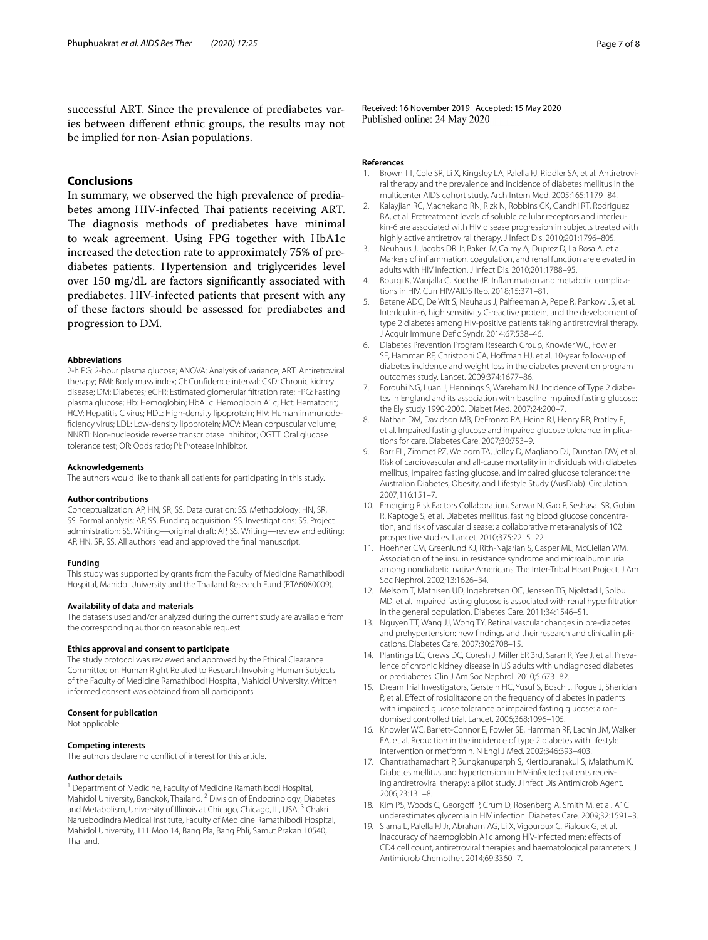successful ART. Since the prevalence of prediabetes varies between diferent ethnic groups, the results may not be implied for non-Asian populations.

# **Conclusions**

In summary, we observed the high prevalence of prediabetes among HIV-infected Thai patients receiving ART. The diagnosis methods of prediabetes have minimal to weak agreement. Using FPG together with HbA1c increased the detection rate to approximately 75% of prediabetes patients. Hypertension and triglycerides level over 150 mg/dL are factors signifcantly associated with prediabetes. HIV-infected patients that present with any of these factors should be assessed for prediabetes and progression to DM.

#### **Abbreviations**

2-h PG: 2-hour plasma glucose; ANOVA: Analysis of variance; ART: Antiretroviral therapy; BMI: Body mass index; CI: Confdence interval; CKD: Chronic kidney disease; DM: Diabetes; eGFR: Estimated glomerular fltration rate; FPG: Fasting plasma glucose; Hb: Hemoglobin; HbA1c: Hemoglobin A1c; Hct: Hematocrit; HCV: Hepatitis C virus; HDL: High-density lipoprotein; HIV: Human immunodefciency virus; LDL: Low-density lipoprotein; MCV: Mean corpuscular volume; NNRTI: Non-nucleoside reverse transcriptase inhibitor; OGTT: Oral glucose tolerance test; OR: Odds ratio; PI: Protease inhibitor.

#### **Acknowledgements**

The authors would like to thank all patients for participating in this study.

#### **Author contributions**

Conceptualization: AP, HN, SR, SS. Data curation: SS. Methodology: HN, SR, SS. Formal analysis: AP, SS. Funding acquisition: SS. Investigations: SS. Project administration: SS. Writing—original draft: AP, SS. Writing—review and editing: AP, HN, SR, SS. All authors read and approved the fnal manuscript.

## **Funding**

This study was supported by grants from the Faculty of Medicine Ramathibodi Hospital, Mahidol University and the Thailand Research Fund (RTA6080009).

#### **Availability of data and materials**

The datasets used and/or analyzed during the current study are available from the corresponding author on reasonable request.

# **Ethics approval and consent to participate**

The study protocol was reviewed and approved by the Ethical Clearance Committee on Human Right Related to Research Involving Human Subjects of the Faculty of Medicine Ramathibodi Hospital, Mahidol University. Written informed consent was obtained from all participants.

#### **Consent for publication**

Not applicable.

#### **Competing interests**

The authors declare no confict of interest for this article.

## **Author details**

<sup>1</sup> Department of Medicine, Faculty of Medicine Ramathibodi Hospital, Mahidol University, Bangkok, Thailand. <sup>2</sup> Division of Endocrinology, Diabetes and Metabolism, University of Illinois at Chicago, Chicago, IL, USA.<sup>3</sup> Chakri Naruebodindra Medical Institute, Faculty of Medicine Ramathibodi Hospital, Mahidol University, 111 Moo 14, Bang Pla, Bang Phli, Samut Prakan 10540, Thailand.

Received: 16 November 2019 Accepted: 15 May 2020 Published online: 24 May 2020

# **References**

- <span id="page-6-0"></span>Brown TT, Cole SR, Li X, Kingsley LA, Palella FJ, Riddler SA, et al. Antiretroviral therapy and the prevalence and incidence of diabetes mellitus in the multicenter AIDS cohort study. Arch Intern Med. 2005;165:1179–84.
- <span id="page-6-1"></span>2. Kalayjian RC, Machekano RN, Rizk N, Robbins GK, Gandhi RT, Rodriguez BA, et al. Pretreatment levels of soluble cellular receptors and interleukin-6 are associated with HIV disease progression in subjects treated with highly active antiretroviral therapy. J Infect Dis. 2010;201:1796–805.
- <span id="page-6-2"></span>3. Neuhaus J, Jacobs DR Jr, Baker JV, Calmy A, Duprez D, La Rosa A, et al. Markers of infammation, coagulation, and renal function are elevated in adults with HIV infection. J Infect Dis. 2010;201:1788–95.
- <span id="page-6-3"></span>4. Bourgi K, Wanjalla C, Koethe JR. Infammation and metabolic complications in HIV. Curr HIV/AIDS Rep. 2018;15:371–81.
- <span id="page-6-4"></span>5. Betene ADC, De Wit S, Neuhaus J, Palfreeman A, Pepe R, Pankow JS, et al. Interleukin-6, high sensitivity C-reactive protein, and the development of type 2 diabetes among HIV-positive patients taking antiretroviral therapy. J Acquir Immune Defc Syndr. 2014;67:538–46.
- <span id="page-6-5"></span>6. Diabetes Prevention Program Research Group, Knowler WC, Fowler SE, Hamman RF, Christophi CA, Hofman HJ, et al. 10-year follow-up of diabetes incidence and weight loss in the diabetes prevention program outcomes study. Lancet. 2009;374:1677–86.
- <span id="page-6-6"></span>7. Forouhi NG, Luan J, Hennings S, Wareham NJ. Incidence of Type 2 diabetes in England and its association with baseline impaired fasting glucose: the Ely study 1990-2000. Diabet Med. 2007;24:200–7.
- <span id="page-6-7"></span>Nathan DM, Davidson MB, DeFronzo RA, Heine RJ, Henry RR, Pratley R, et al. Impaired fasting glucose and impaired glucose tolerance: implications for care. Diabetes Care. 2007;30:753–9.
- <span id="page-6-8"></span>9. Barr EL, Zimmet PZ, Welborn TA, Jolley D, Magliano DJ, Dunstan DW, et al. Risk of cardiovascular and all-cause mortality in individuals with diabetes mellitus, impaired fasting glucose, and impaired glucose tolerance: the Australian Diabetes, Obesity, and Lifestyle Study (AusDiab). Circulation. 2007;116:151–7.
- 10. Emerging Risk Factors Collaboration, Sarwar N, Gao P, Seshasai SR, Gobin R, Kaptoge S, et al. Diabetes mellitus, fasting blood glucose concentration, and risk of vascular disease: a collaborative meta-analysis of 102 prospective studies. Lancet. 2010;375:2215–22.
- 11. Hoehner CM, Greenlund KJ, Rith-Najarian S, Casper ML, McClellan WM. Association of the insulin resistance syndrome and microalbuminuria among nondiabetic native Americans. The Inter-Tribal Heart Project. J Am Soc Nephrol. 2002;13:1626–34.
- 12. Melsom T, Mathisen UD, Ingebretsen OC, Jenssen TG, Njolstad I, Solbu MD, et al. Impaired fasting glucose is associated with renal hyperfltration in the general population. Diabetes Care. 2011;34:1546–51.
- 13. Nguyen TT, Wang JJ, Wong TY. Retinal vascular changes in pre-diabetes and prehypertension: new fndings and their research and clinical implications. Diabetes Care. 2007;30:2708–15.
- <span id="page-6-9"></span>14. Plantinga LC, Crews DC, Coresh J, Miller ER 3rd, Saran R, Yee J, et al. Prevalence of chronic kidney disease in US adults with undiagnosed diabetes or prediabetes. Clin J Am Soc Nephrol. 2010;5:673–82.
- <span id="page-6-10"></span>15. Dream Trial Investigators, Gerstein HC, Yusuf S, Bosch J, Pogue J, Sheridan P, et al. Efect of rosiglitazone on the frequency of diabetes in patients with impaired glucose tolerance or impaired fasting glucose: a randomised controlled trial. Lancet. 2006;368:1096–105.
- <span id="page-6-11"></span>16. Knowler WC, Barrett-Connor E, Fowler SE, Hamman RF, Lachin JM, Walker EA, et al. Reduction in the incidence of type 2 diabetes with lifestyle intervention or metformin. N Engl J Med. 2002;346:393–403.
- <span id="page-6-12"></span>17. Chantrathamachart P, Sungkanuparph S, Kiertiburanakul S, Malathum K. Diabetes mellitus and hypertension in HIV-infected patients receiving antiretroviral therapy: a pilot study. J Infect Dis Antimicrob Agent. 2006;23:131–8.
- <span id="page-6-13"></span>18. Kim PS, Woods C, Georgoff P, Crum D, Rosenberg A, Smith M, et al. A1C underestimates glycemia in HIV infection. Diabetes Care. 2009;32:1591–3.
- <span id="page-6-14"></span>19. Slama L, Palella FJ Jr, Abraham AG, Li X, Vigouroux C, Pialoux G, et al. Inaccuracy of haemoglobin A1c among HIV-infected men: efects of CD4 cell count, antiretroviral therapies and haematological parameters. J Antimicrob Chemother. 2014;69:3360–7.